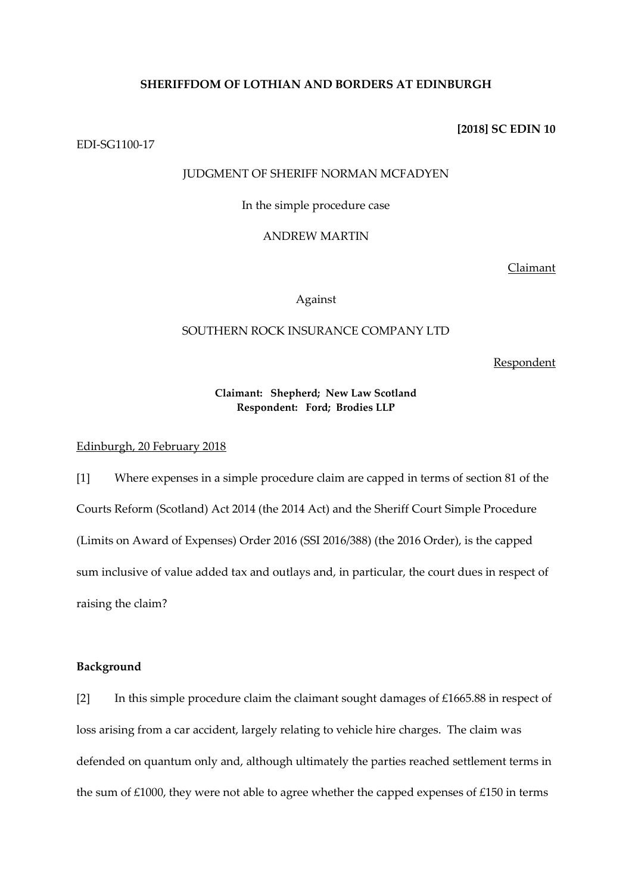### **SHERIFFDOM OF LOTHIAN AND BORDERS AT EDINBURGH**

**[2018] SC EDIN 10**

EDI-SG1100-17

# JUDGMENT OF SHERIFF NORMAN MCFADYEN

In the simple procedure case

### ANDREW MARTIN

Claimant

#### Against

# SOUTHERN ROCK INSURANCE COMPANY LTD

Respondent

# **Claimant: Shepherd; New Law Scotland Respondent: Ford; Brodies LLP**

### Edinburgh, 20 February 2018

[1] Where expenses in a simple procedure claim are capped in terms of section 81 of the Courts Reform (Scotland) Act 2014 (the 2014 Act) and the Sheriff Court Simple Procedure (Limits on Award of Expenses) Order 2016 (SSI 2016/388) (the 2016 Order), is the capped sum inclusive of value added tax and outlays and, in particular, the court dues in respect of raising the claim?

### **Background**

[2] In this simple procedure claim the claimant sought damages of £1665.88 in respect of loss arising from a car accident, largely relating to vehicle hire charges. The claim was defended on quantum only and, although ultimately the parties reached settlement terms in the sum of £1000, they were not able to agree whether the capped expenses of £150 in terms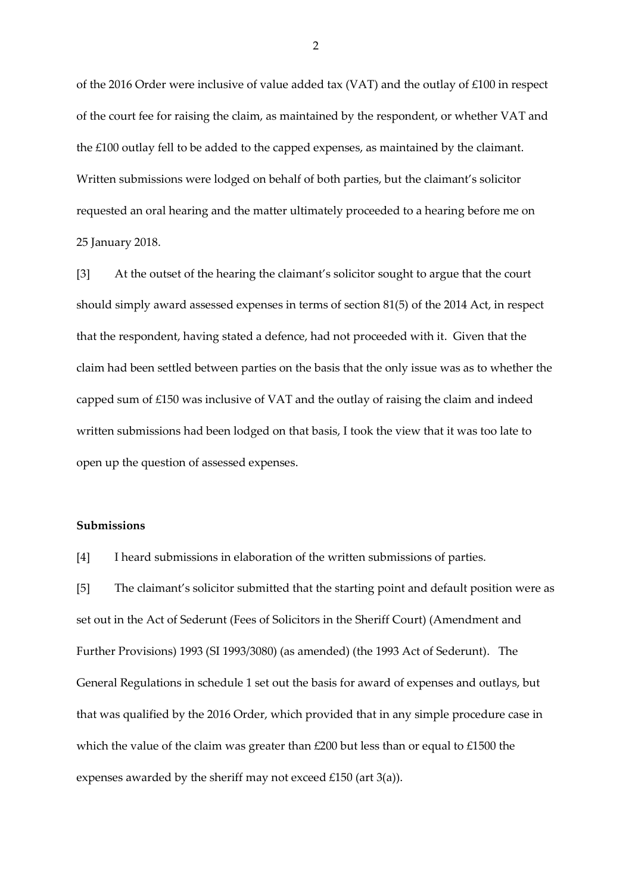of the 2016 Order were inclusive of value added tax (VAT) and the outlay of £100 in respect of the court fee for raising the claim, as maintained by the respondent, or whether VAT and the £100 outlay fell to be added to the capped expenses, as maintained by the claimant. Written submissions were lodged on behalf of both parties, but the claimant's solicitor requested an oral hearing and the matter ultimately proceeded to a hearing before me on 25 January 2018.

[3] At the outset of the hearing the claimant's solicitor sought to argue that the court should simply award assessed expenses in terms of section 81(5) of the 2014 Act, in respect that the respondent, having stated a defence, had not proceeded with it. Given that the claim had been settled between parties on the basis that the only issue was as to whether the capped sum of £150 was inclusive of VAT and the outlay of raising the claim and indeed written submissions had been lodged on that basis, I took the view that it was too late to open up the question of assessed expenses.

# **Submissions**

[4] I heard submissions in elaboration of the written submissions of parties.

[5] The claimant's solicitor submitted that the starting point and default position were as set out in the Act of Sederunt (Fees of Solicitors in the Sheriff Court) (Amendment and Further Provisions) 1993 (SI 1993/3080) (as amended) (the 1993 Act of Sederunt). The General Regulations in schedule 1 set out the basis for award of expenses and outlays, but that was qualified by the 2016 Order, which provided that in any simple procedure case in which the value of the claim was greater than £200 but less than or equal to £1500 the expenses awarded by the sheriff may not exceed £150 (art 3(a)).

2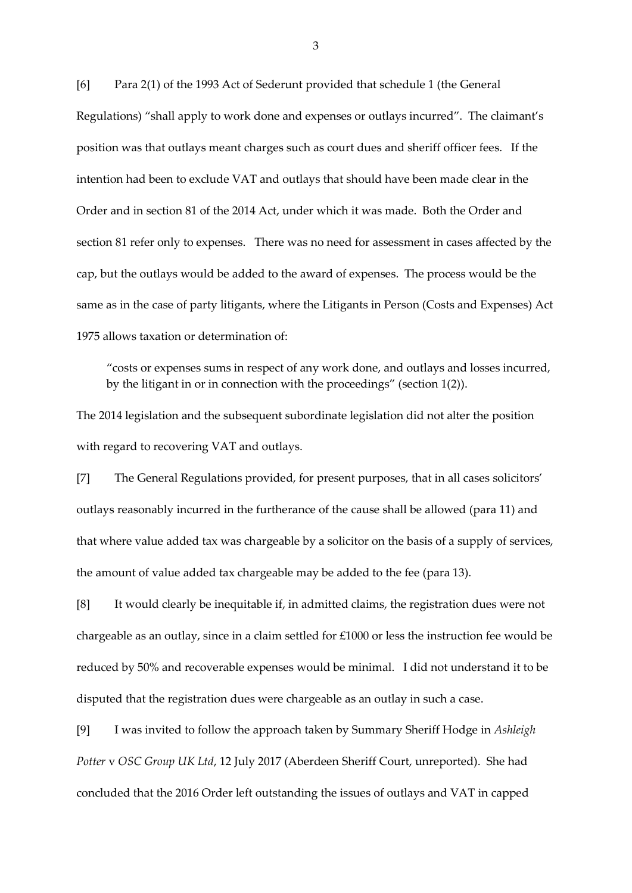[6] Para 2(1) of the 1993 Act of Sederunt provided that schedule 1 (the General Regulations) "shall apply to work done and expenses or outlays incurred". The claimant's position was that outlays meant charges such as court dues and sheriff officer fees. If the intention had been to exclude VAT and outlays that should have been made clear in the Order and in section 81 of the 2014 Act, under which it was made. Both the Order and section 81 refer only to expenses. There was no need for assessment in cases affected by the cap, but the outlays would be added to the award of expenses. The process would be the same as in the case of party litigants, where the Litigants in Person (Costs and Expenses) Act 1975 allows taxation or determination of:

"costs or expenses sums in respect of any work done, and outlays and losses incurred, by the litigant in or in connection with the proceedings" (section 1(2)).

The 2014 legislation and the subsequent subordinate legislation did not alter the position with regard to recovering VAT and outlays.

[7] The General Regulations provided, for present purposes, that in all cases solicitors' outlays reasonably incurred in the furtherance of the cause shall be allowed (para 11) and that where value added tax was chargeable by a solicitor on the basis of a supply of services, the amount of value added tax chargeable may be added to the fee (para 13).

[8] It would clearly be inequitable if, in admitted claims, the registration dues were not chargeable as an outlay, since in a claim settled for £1000 or less the instruction fee would be reduced by 50% and recoverable expenses would be minimal. I did not understand it to be disputed that the registration dues were chargeable as an outlay in such a case.

[9] I was invited to follow the approach taken by Summary Sheriff Hodge in *Ashleigh Potter* v *OSC Group UK Ltd*, 12 July 2017 (Aberdeen Sheriff Court, unreported). She had concluded that the 2016 Order left outstanding the issues of outlays and VAT in capped

3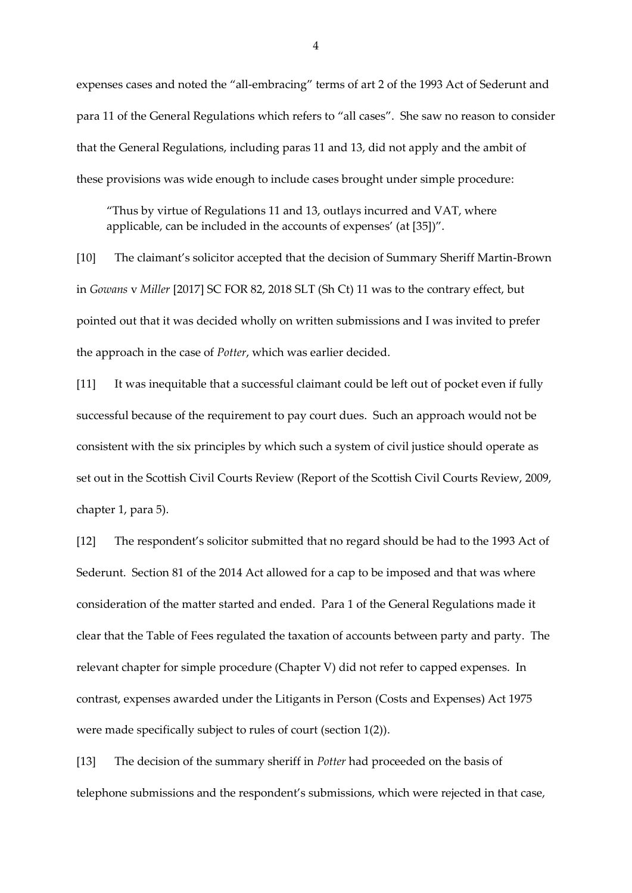expenses cases and noted the "all-embracing" terms of art 2 of the 1993 Act of Sederunt and para 11 of the General Regulations which refers to "all cases". She saw no reason to consider that the General Regulations, including paras 11 and 13, did not apply and the ambit of these provisions was wide enough to include cases brought under simple procedure:

"Thus by virtue of Regulations 11 and 13, outlays incurred and VAT, where applicable, can be included in the accounts of expenses' (at [35])".

[10] The claimant's solicitor accepted that the decision of Summary Sheriff Martin-Brown in *Gowans* v *Miller* [2017] SC FOR 82, 2018 SLT (Sh Ct) 11 was to the contrary effect, but pointed out that it was decided wholly on written submissions and I was invited to prefer the approach in the case of *Potter*, which was earlier decided.

[11] It was inequitable that a successful claimant could be left out of pocket even if fully successful because of the requirement to pay court dues. Such an approach would not be consistent with the six principles by which such a system of civil justice should operate as set out in the Scottish Civil Courts Review (Report of the Scottish Civil Courts Review, 2009, chapter 1, para 5).

[12] The respondent's solicitor submitted that no regard should be had to the 1993 Act of Sederunt. Section 81 of the 2014 Act allowed for a cap to be imposed and that was where consideration of the matter started and ended. Para 1 of the General Regulations made it clear that the Table of Fees regulated the taxation of accounts between party and party. The relevant chapter for simple procedure (Chapter V) did not refer to capped expenses. In contrast, expenses awarded under the Litigants in Person (Costs and Expenses) Act 1975 were made specifically subject to rules of court (section 1(2)).

[13] The decision of the summary sheriff in *Potter* had proceeded on the basis of telephone submissions and the respondent's submissions, which were rejected in that case,

4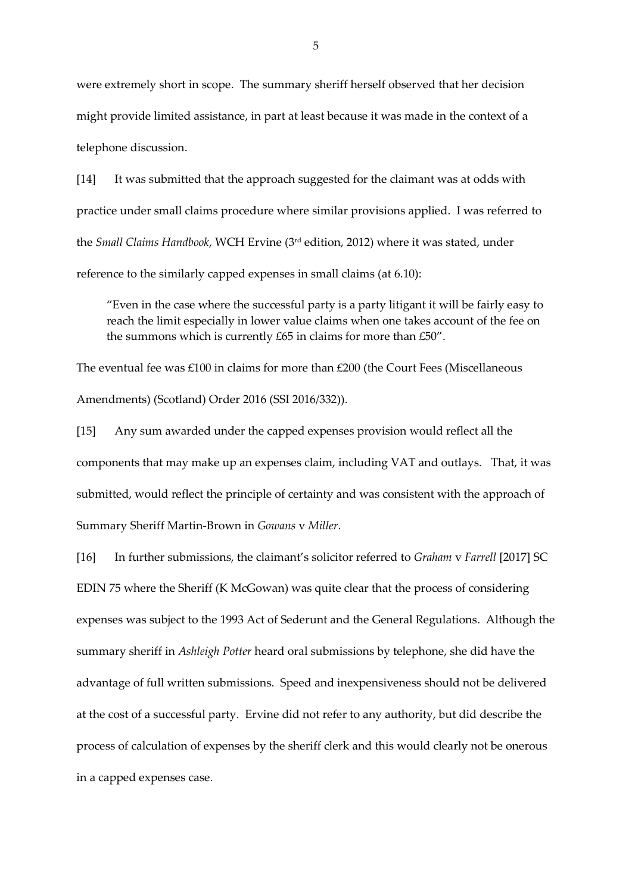were extremely short in scope. The summary sheriff herself observed that her decision might provide limited assistance, in part at least because it was made in the context of a telephone discussion.

[14] It was submitted that the approach suggested for the claimant was at odds with practice under small claims procedure where similar provisions applied. I was referred to the *Small Claims Handbook*, WCH Ervine (3rd edition, 2012) where it was stated, under reference to the similarly capped expenses in small claims (at 6.10):

"Even in the case where the successful party is a party litigant it will be fairly easy to reach the limit especially in lower value claims when one takes account of the fee on the summons which is currently £65 in claims for more than £50".

The eventual fee was £100 in claims for more than £200 (the Court Fees (Miscellaneous Amendments) (Scotland) Order 2016 (SSI 2016/332)).

[15] Any sum awarded under the capped expenses provision would reflect all the components that may make up an expenses claim, including VAT and outlays. That, it was submitted, would reflect the principle of certainty and was consistent with the approach of Summary Sheriff Martin-Brown in *Gowans* v *Miller*.

[16] In further submissions, the claimant's solicitor referred to *Graham* v *Farrell* [2017] SC EDIN 75 where the Sheriff (K McGowan) was quite clear that the process of considering expenses was subject to the 1993 Act of Sederunt and the General Regulations. Although the summary sheriff in *Ashleigh Potter* heard oral submissions by telephone, she did have the advantage of full written submissions. Speed and inexpensiveness should not be delivered at the cost of a successful party. Ervine did not refer to any authority, but did describe the process of calculation of expenses by the sheriff clerk and this would clearly not be onerous in a capped expenses case.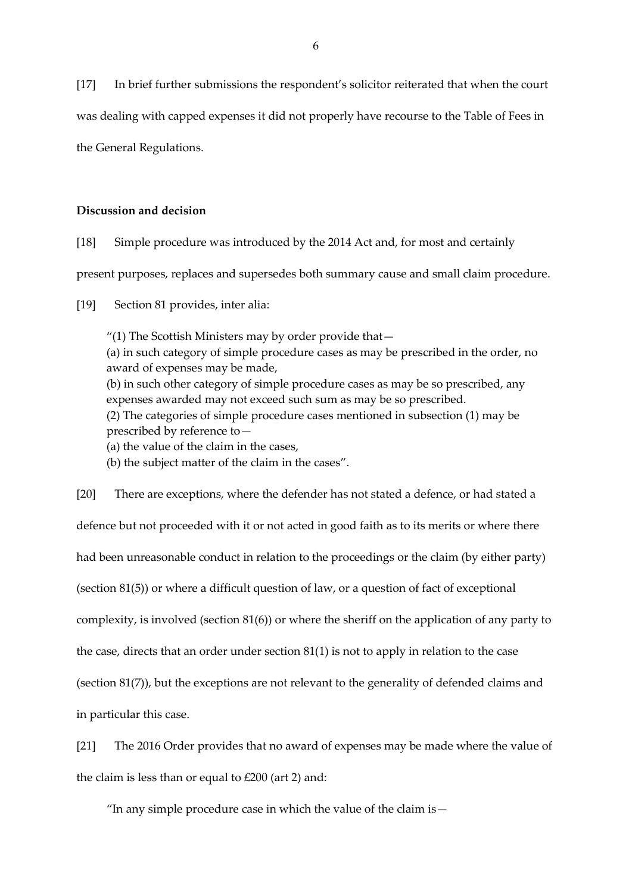[17] In brief further submissions the respondent's solicitor reiterated that when the court was dealing with capped expenses it did not properly have recourse to the Table of Fees in the General Regulations.

### **Discussion and decision**

[18] Simple procedure was introduced by the 2014 Act and, for most and certainly

present purposes, replaces and supersedes both summary cause and small claim procedure.

[19] Section 81 provides, inter alia:

"(1) The Scottish Ministers may by order provide that— (a) in such category of simple procedure cases as may be prescribed in the order, no award of expenses may be made, (b) in such other category of simple procedure cases as may be so prescribed, any expenses awarded may not exceed such sum as may be so prescribed. (2) The categories of simple procedure cases mentioned in subsection (1) may be prescribed by reference to— (a) the value of the claim in the cases,

(b) the subject matter of the claim in the cases".

[20] There are exceptions, where the defender has not stated a defence, or had stated a defence but not proceeded with it or not acted in good faith as to its merits or where there had been unreasonable conduct in relation to the proceedings or the claim (by either party) (section 81(5)) or where a difficult question of law, or a question of fact of exceptional complexity, is involved (section 81(6)) or where the sheriff on the application of any party to the case, directs that an order under section 81(1) is not to apply in relation to the case (section 81(7)), but the exceptions are not relevant to the generality of defended claims and in particular this case.

[21] The 2016 Order provides that no award of expenses may be made where the value of the claim is less than or equal to £200 (art 2) and:

"In any simple procedure case in which the value of the claim is—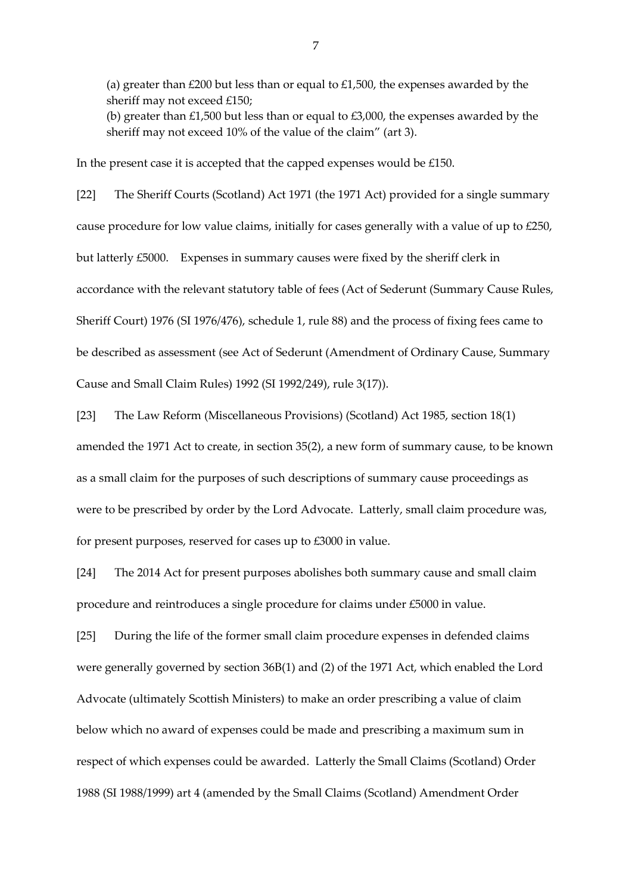(a) greater than  $£200$  but less than or equal to  $£1,500$ , the expenses awarded by the sheriff may not exceed £150; (b) greater than £1,500 but less than or equal to £3,000, the expenses awarded by the sheriff may not exceed 10% of the value of the claim" (art 3).

In the present case it is accepted that the capped expenses would be £150.

[22] The Sheriff Courts (Scotland) Act 1971 (the 1971 Act) provided for a single summary cause procedure for low value claims, initially for cases generally with a value of up to £250, but latterly £5000. Expenses in summary causes were fixed by the sheriff clerk in accordance with the relevant statutory table of fees (Act of Sederunt (Summary Cause Rules, Sheriff Court) 1976 (SI 1976/476), schedule 1, rule 88) and the process of fixing fees came to be described as assessment (see Act of Sederunt (Amendment of Ordinary Cause, Summary Cause and Small Claim Rules) 1992 (SI 1992/249), rule 3(17)).

[23] The Law Reform (Miscellaneous Provisions) (Scotland) Act 1985, section 18(1)

amended the 1971 Act to create, in section 35(2), a new form of summary cause, to be known as a small claim for the purposes of such descriptions of summary cause proceedings as were to be prescribed by order by the Lord Advocate. Latterly, small claim procedure was, for present purposes, reserved for cases up to £3000 in value.

[24] The 2014 Act for present purposes abolishes both summary cause and small claim procedure and reintroduces a single procedure for claims under £5000 in value.

[25] During the life of the former small claim procedure expenses in defended claims were generally governed by section 36B(1) and (2) of the 1971 Act, which enabled the Lord Advocate (ultimately Scottish Ministers) to make an order prescribing a value of claim below which no award of expenses could be made and prescribing a maximum sum in respect of which expenses could be awarded. Latterly the Small Claims (Scotland) Order 1988 (SI 1988/1999) art 4 (amended by the Small Claims (Scotland) Amendment Order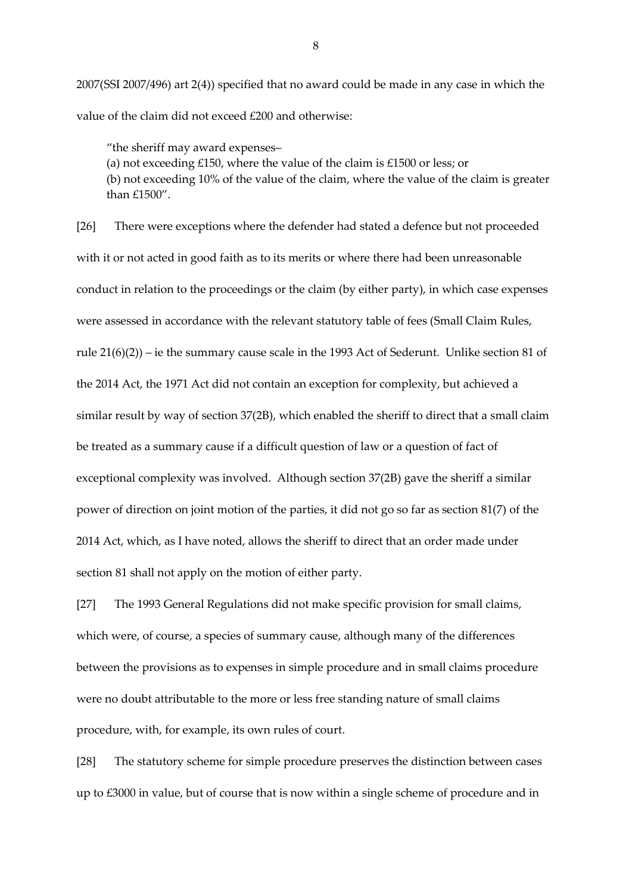2007(SSI 2007/496) [art 2\(4\)\)](https://login.westlaw.co.uk/maf/wluk/app/document?src=doc&linktype=ref&context=59&crumb-action=replace&docguid=I2F6214A095D211DC95FFFE342170B1DA) specified that no award could be made in any case in which the value of the claim did not exceed £200 and otherwise:

"the sheriff may award expenses–

(a) not exceeding £150, where the value of the claim is £1500 or less; or (b) not exceeding 10% of the value of the claim, where the value of the claim is greater than £1500".

[26] There were exceptions where the defender had stated a defence but not proceeded with it or not acted in good faith as to its merits or where there had been unreasonable conduct in relation to the proceedings or the claim (by either party), in which case expenses were assessed in accordance with the relevant statutory table of fees (Small Claim Rules, rule 21(6)(2)) – ie the summary cause scale in the 1993 Act of Sederunt. Unlike section 81 of the 2014 Act, the 1971 Act did not contain an exception for complexity, but achieved a similar result by way of section 37(2B), which enabled the sheriff to direct that a small claim be treated as a summary cause if a difficult question of law or a question of fact of exceptional complexity was involved. Although section 37(2B) gave the sheriff a similar power of direction on joint motion of the parties, it did not go so far as section 81(7) of the 2014 Act, which, as I have noted, allows the sheriff to direct that an order made under section 81 shall not apply on the motion of either party.

[27] The 1993 General Regulations did not make specific provision for small claims, which were, of course, a species of summary cause, although many of the differences between the provisions as to expenses in simple procedure and in small claims procedure were no doubt attributable to the more or less free standing nature of small claims procedure, with, for example, its own rules of court.

[28] The statutory scheme for simple procedure preserves the distinction between cases up to £3000 in value, but of course that is now within a single scheme of procedure and in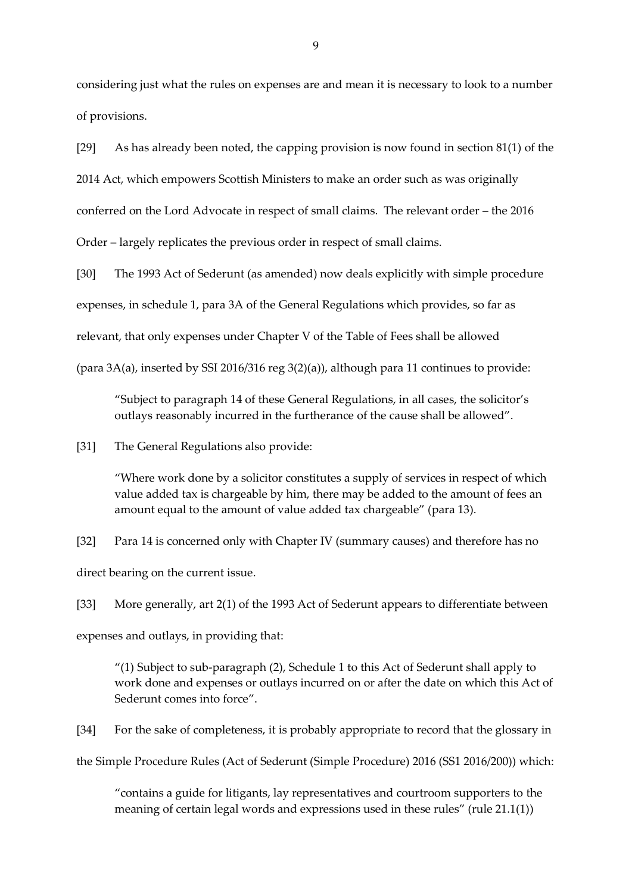considering just what the rules on expenses are and mean it is necessary to look to a number of provisions.

[29] As has already been noted, the capping provision is now found in section 81(1) of the 2014 Act, which empowers Scottish Ministers to make an order such as was originally conferred on the Lord Advocate in respect of small claims. The relevant order – the 2016 Order – largely replicates the previous order in respect of small claims.

[30] The 1993 Act of Sederunt (as amended) now deals explicitly with simple procedure expenses, in schedule 1, para 3A of the General Regulations which provides, so far as relevant, that only expenses under Chapter V of the Table of Fees shall be allowed

(para  $3A(a)$ , inserted by SSI 2016/316 reg  $3(2)(a)$ ), although para 11 continues to provide:

"Subject to paragraph 14 of these General Regulations, in all cases, the solicitor's outlays reasonably incurred in the furtherance of the cause shall be allowed".

[31] The General Regulations also provide:

"Where work done by a solicitor constitutes a supply of services in respect of which value added tax is chargeable by him, there may be added to the amount of fees an amount equal to the amount of value added tax chargeable" (para 13).

[32] Para 14 is concerned only with Chapter IV (summary causes) and therefore has no direct bearing on the current issue.

[33] More generally, art 2(1) of the 1993 Act of Sederunt appears to differentiate between

expenses and outlays, in providing that:

"(1) Subject to sub-paragraph (2), Schedule 1 to this Act of Sederunt shall apply to work done and expenses or outlays incurred on or after the date on which this Act of Sederunt comes into force".

[34] For the sake of completeness, it is probably appropriate to record that the glossary in

the Simple Procedure Rules (Act of Sederunt (Simple Procedure) 2016 (SS1 2016/200)) which:

"contains a guide for litigants, lay representatives and courtroom supporters to the meaning of certain legal words and expressions used in these rules" (rule 21.1(1))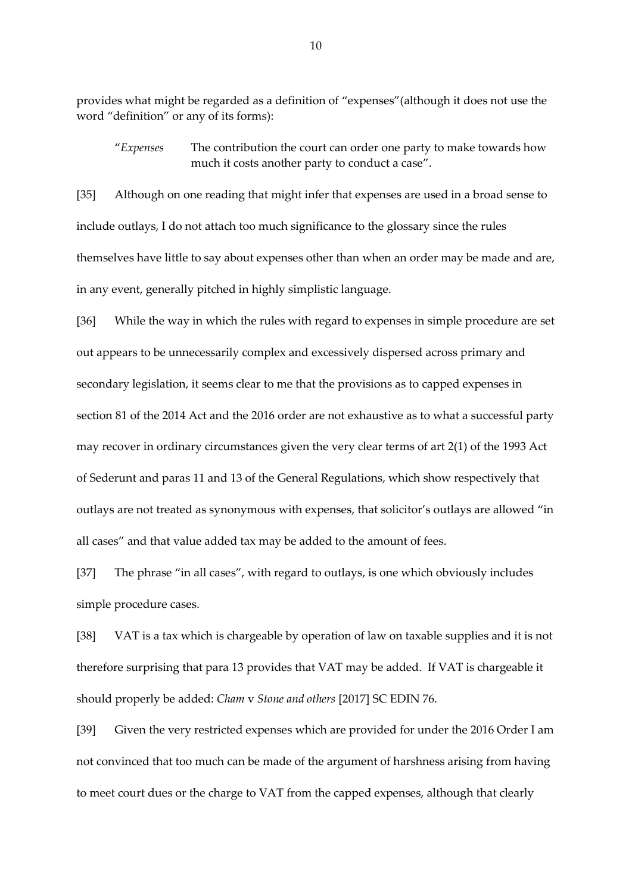provides what might be regarded as a definition of "expenses"(although it does not use the word "definition" or any of its forms):

"*Expenses* The contribution the court can order one party to make towards how much it costs another party to conduct a case".

[35] Although on one reading that might infer that expenses are used in a broad sense to include outlays, I do not attach too much significance to the glossary since the rules themselves have little to say about expenses other than when an order may be made and are, in any event, generally pitched in highly simplistic language.

[36] While the way in which the rules with regard to expenses in simple procedure are set out appears to be unnecessarily complex and excessively dispersed across primary and secondary legislation, it seems clear to me that the provisions as to capped expenses in section 81 of the 2014 Act and the 2016 order are not exhaustive as to what a successful party may recover in ordinary circumstances given the very clear terms of art 2(1) of the 1993 Act of Sederunt and paras 11 and 13 of the General Regulations, which show respectively that outlays are not treated as synonymous with expenses, that solicitor's outlays are allowed "in all cases" and that value added tax may be added to the amount of fees.

[37] The phrase "in all cases", with regard to outlays, is one which obviously includes simple procedure cases.

[38] VAT is a tax which is chargeable by operation of law on taxable supplies and it is not therefore surprising that para 13 provides that VAT may be added. If VAT is chargeable it should properly be added: *Cham* v *Stone and others* [2017] SC EDIN 76.

[39] Given the very restricted expenses which are provided for under the 2016 Order I am not convinced that too much can be made of the argument of harshness arising from having to meet court dues or the charge to VAT from the capped expenses, although that clearly